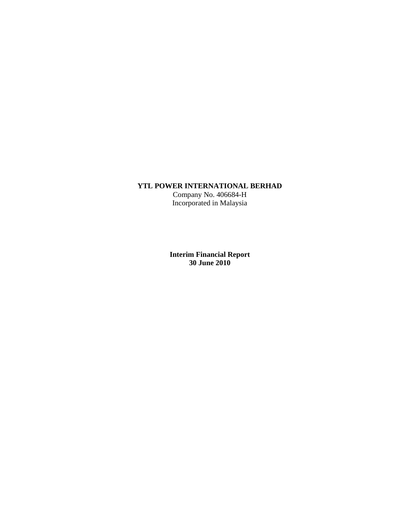## **YTL POWER INTERNATIONAL BERHAD**

Company No. 406684-H Incorporated in Malaysia

**Interim Financial Report 30 June 2010**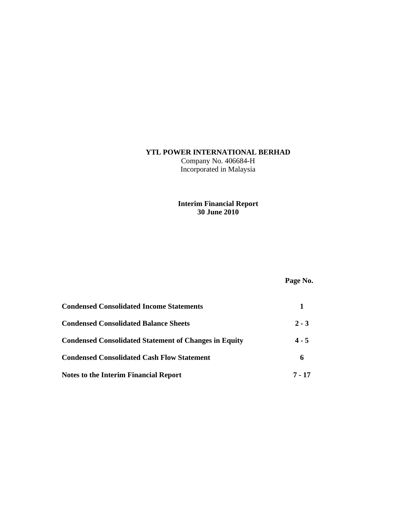## **YTL POWER INTERNATIONAL BERHAD**

Company No. 406684-H Incorporated in Malaysia

## **Interim Financial Report 30 June 2010**

## **Page No.**

| <b>Condensed Consolidated Income Statements</b>              |         |
|--------------------------------------------------------------|---------|
| <b>Condensed Consolidated Balance Sheets</b>                 | $2 - 3$ |
| <b>Condensed Consolidated Statement of Changes in Equity</b> | $4 - 5$ |
| <b>Condensed Consolidated Cash Flow Statement</b>            | 6       |
| Notes to the Interim Financial Report                        | 7 - 17  |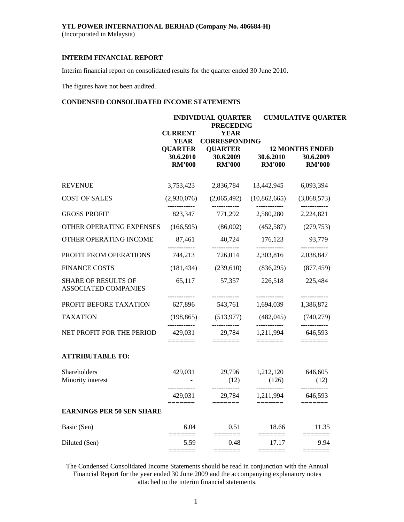(Incorporated in Malaysia)

#### **INTERIM FINANCIAL REPORT**

Interim financial report on consolidated results for the quarter ended 30 June 2010.

The figures have not been audited.

## **CONDENSED CONSOLIDATED INCOME STATEMENTS**

|                                                           |                                     | <b>INDIVIDUAL QUARTER</b><br><b>PRECEDING</b>     |                                                             | <b>CUMULATIVE QUARTER</b>           |
|-----------------------------------------------------------|-------------------------------------|---------------------------------------------------|-------------------------------------------------------------|-------------------------------------|
|                                                           | <b>CURRENT</b>                      | <b>YEAR</b>                                       |                                                             |                                     |
|                                                           | <b>YEAR</b>                         | <b>CORRESPONDING</b>                              |                                                             |                                     |
|                                                           | <b>QUARTER</b><br>30.6.2010         | <b>QUARTER</b><br>30.6.2009                       | 30.6.2010                                                   | <b>12 MONTHS ENDED</b><br>30.6.2009 |
|                                                           | <b>RM'000</b>                       | <b>RM'000</b>                                     | <b>RM'000</b>                                               | <b>RM'000</b>                       |
|                                                           |                                     |                                                   |                                                             |                                     |
| <b>REVENUE</b>                                            | 3,753,423                           | 2,836,784                                         | 13,442,945                                                  | 6,093,394                           |
| <b>COST OF SALES</b>                                      | (2,930,076)                         | (2,065,492)                                       | (10,862,665)<br>------------                                | (3,868,573)                         |
| <b>GROSS PROFIT</b>                                       | 823,347                             | 771,292                                           | 2,580,280                                                   | 2,224,821                           |
| OTHER OPERATING EXPENSES                                  | (166, 595)                          | (86,002)                                          | (452, 587)                                                  | (279, 753)                          |
| OTHER OPERATING INCOME                                    | 87,461                              | 40,724                                            | 176,123                                                     | 93,779                              |
| PROFIT FROM OPERATIONS                                    | 744,213                             | 726,014                                           | 2,303,816                                                   | 2,038,847                           |
| <b>FINANCE COSTS</b>                                      | (181, 434)                          | (239,610)                                         | (836,295)                                                   | (877, 459)                          |
| <b>SHARE OF RESULTS OF</b><br><b>ASSOCIATED COMPANIES</b> | 65,117                              | 57,357                                            | 226,518                                                     | 225,484                             |
| PROFIT BEFORE TAXATION                                    | ------------<br>627,896             | ------------<br>543,761                           | ------------<br>1,694,039                                   | ------------<br>1,386,872           |
| <b>TAXATION</b>                                           | (198, 865)                          | (513, 977)                                        | (482, 045)                                                  | (740, 279)                          |
| NET PROFIT FOR THE PERIOD                                 | 429,031                             | ------------<br>29,784<br>$=$ $=$ $=$ $=$ $=$ $=$ | ------------<br>1,211,994                                   | ------------<br>646,593             |
| <b>ATTRIBUTABLE TO:</b>                                   |                                     |                                                   |                                                             |                                     |
| Shareholders<br>Minority interest                         | 429,031<br>$\sim 100$               | 29,796<br>(12)                                    | 1,212,120<br>(126)                                          | 646,605<br>(12)                     |
|                                                           | 429,031<br>=======                  | ------------<br>29,784                            | ------------<br>1,211,994                                   | ------------<br>646,593             |
| <b>EARNINGS PER 50 SEN SHARE</b>                          |                                     | $=$ $=$ $=$ $=$ $=$ $=$ $=$                       |                                                             |                                     |
| Basic (Sen)                                               | 6.04<br>$=$ $=$ $=$ $=$ $=$ $=$ $=$ | 0.51                                              | 18.66<br>$\equiv \equiv \equiv \equiv \equiv \equiv \equiv$ | 11.35                               |
| Diluted (Sen)                                             | 5.59                                | 0.48                                              | 17.17                                                       | 9.94                                |
|                                                           |                                     |                                                   |                                                             |                                     |

The Condensed Consolidated Income Statements should be read in conjunction with the Annual Financial Report for the year ended 30 June 2009 and the accompanying explanatory notes attached to the interim financial statements.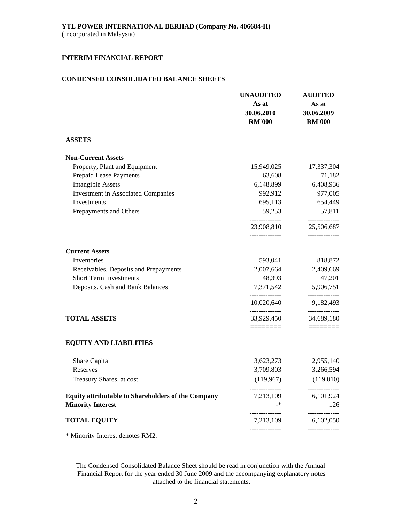### **CONDENSED CONSOLIDATED BALANCE SHEETS**

|                                                                                       | <b>UNAUDITED</b><br>As at<br>30.06.2010<br><b>RM'000</b>    | <b>AUDITED</b><br>As at<br>30.06.2009<br><b>RM'000</b> |
|---------------------------------------------------------------------------------------|-------------------------------------------------------------|--------------------------------------------------------|
| <b>ASSETS</b>                                                                         |                                                             |                                                        |
| <b>Non-Current Assets</b>                                                             |                                                             |                                                        |
| Property, Plant and Equipment                                                         | 15,949,025                                                  | 17,337,304                                             |
| <b>Prepaid Lease Payments</b>                                                         | 63,608                                                      | 71,182                                                 |
| <b>Intangible Assets</b>                                                              | 6,148,899                                                   | 6,408,936                                              |
| <b>Investment in Associated Companies</b>                                             | 992,912                                                     | 977,005                                                |
| Investments                                                                           | 695,113                                                     | 654,449                                                |
| Prepayments and Others                                                                | 59,253                                                      | 57,811                                                 |
|                                                                                       | --------------<br>23,908,810<br>. _ _ _ _ _ _ _ _ _ _ _ _ _ | --------------<br>25,506,687<br>--------------         |
| <b>Current Assets</b>                                                                 |                                                             |                                                        |
| Inventories                                                                           | 593,041                                                     | 818,872                                                |
| Receivables, Deposits and Prepayments                                                 | 2,007,664                                                   | 2,409,669                                              |
| <b>Short Term Investments</b>                                                         | 48,393                                                      | 47,201                                                 |
| Deposits, Cash and Bank Balances                                                      | 7,371,542                                                   | 5,906,751                                              |
|                                                                                       | --------------<br>10,020,640                                | --------------<br>9,182,493                            |
| <b>TOTAL ASSETS</b>                                                                   | --------------<br>33,929,450                                | ------------<br>34,689,180                             |
| <b>EQUITY AND LIABILITIES</b>                                                         | ========                                                    |                                                        |
|                                                                                       |                                                             |                                                        |
| Share Capital                                                                         | 3,623,273                                                   | 2,955,140                                              |
| Reserves                                                                              | 3,709,803                                                   | 3,266,594                                              |
| Treasury Shares, at cost                                                              | (119,967)                                                   | (119, 810)                                             |
| <b>Equity attributable to Shareholders of the Company</b><br><b>Minority Interest</b> | 7,213,109<br>_*                                             | 6,101,924<br>126                                       |
| <b>TOTAL EQUITY</b>                                                                   | ------------<br>7,213,109                                   | ----------<br>6,102,050                                |
| * Minority Interest denotes RM2.                                                      |                                                             |                                                        |

The Condensed Consolidated Balance Sheet should be read in conjunction with the Annual Financial Report for the year ended 30 June 2009 and the accompanying explanatory notes attached to the financial statements.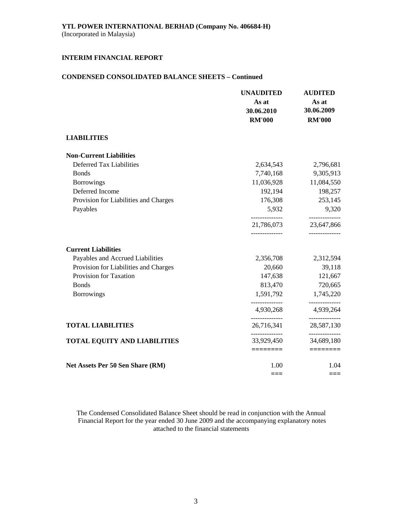## **CONDENSED CONSOLIDATED BALANCE SHEETS – Continued**

|                                       | <b>UNAUDITED</b><br>As at    | <b>AUDITED</b><br>As at  |
|---------------------------------------|------------------------------|--------------------------|
|                                       | 30.06.2010                   | 30.06.2009               |
|                                       | <b>RM'000</b>                | <b>RM'000</b>            |
| <b>LIABILITIES</b>                    |                              |                          |
| <b>Non-Current Liabilities</b>        |                              |                          |
| Deferred Tax Liabilities              | 2,634,543                    | 2,796,681                |
| <b>Bonds</b>                          | 7,740,168                    | 9,305,913                |
| <b>Borrowings</b>                     | 11,036,928                   | 11,084,550               |
| Deferred Income                       | 192,194                      | 198,257                  |
| Provision for Liabilities and Charges | 176,308                      | 253,145                  |
| Payables                              | 5,932                        | 9,320<br>---------       |
|                                       | 21,786,073                   | 23,647,866               |
|                                       | --------------               | --------------           |
| <b>Current Liabilities</b>            |                              |                          |
| Payables and Accrued Liabilities      | 2,356,708                    | 2,312,594                |
| Provision for Liabilities and Charges | 20,660                       | 39,118                   |
| Provision for Taxation                | 147,638                      | 121,667                  |
| <b>Bonds</b>                          | 813,470                      | 720,665                  |
| <b>Borrowings</b>                     | 1,591,792                    | 1,745,220                |
|                                       | 4,930,268                    | 4,939,264                |
| <b>TOTAL LIABILITIES</b>              | 26,716,341                   | 28,587,130               |
| <b>TOTAL EQUITY AND LIABILITIES</b>   | --------------<br>33,929,450 | ----------<br>34,689,180 |
|                                       | ========                     | ========                 |
| Net Assets Per 50 Sen Share (RM)      | 1.00                         | 1.04                     |
|                                       | $==$                         | $==$                     |

The Condensed Consolidated Balance Sheet should be read in conjunction with the Annual Financial Report for the year ended 30 June 2009 and the accompanying explanatory notes attached to the financial statements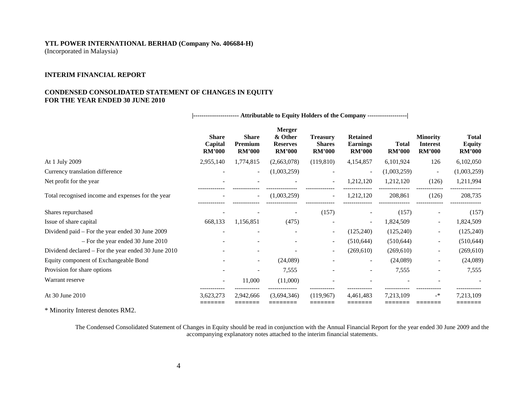(Incorporated in Malaysia)

#### **INTERIM FINANCIAL REPORT**

#### **CONDENSED CONSOLIDATED STATEMENT OF CHANGES IN EQUITY FOR THE YEAR ENDED 30 JUNE 2010**

|                                                     | --------------------- Attributable to Equity Holders of the Company ------------------ |                                          |                                                              |                                            |                                                     |                               |                                                     |                                                |
|-----------------------------------------------------|----------------------------------------------------------------------------------------|------------------------------------------|--------------------------------------------------------------|--------------------------------------------|-----------------------------------------------------|-------------------------------|-----------------------------------------------------|------------------------------------------------|
|                                                     | <b>Share</b><br>Capital<br><b>RM'000</b>                                               | <b>Share</b><br>Premium<br><b>RM'000</b> | <b>Merger</b><br>& Other<br><b>Reserves</b><br><b>RM'000</b> | Treasurv<br><b>Shares</b><br><b>RM'000</b> | <b>Retained</b><br><b>Earnings</b><br><b>RM'000</b> | <b>Total</b><br><b>RM'000</b> | <b>Minority</b><br><b>Interest</b><br><b>RM'000</b> | <b>Total</b><br><b>Equity</b><br><b>RM'000</b> |
| At 1 July 2009                                      | 2,955,140                                                                              | 1,774,815                                | (2,663,078)                                                  | (119, 810)                                 | 4,154,857                                           | 6,101,924                     | 126                                                 | 6,102,050                                      |
| Currency translation difference                     |                                                                                        | $\overline{\phantom{a}}$                 | (1,003,259)                                                  |                                            | $\overline{\phantom{a}}$                            | (1,003,259)                   | $\overline{\phantom{a}}$                            | (1,003,259)                                    |
| Net profit for the year                             |                                                                                        |                                          |                                                              |                                            | 1,212,120                                           | 1,212,120                     | (126)                                               | 1,211,994                                      |
| Total recognised income and expenses for the year   |                                                                                        | $\overline{\phantom{a}}$                 | (1,003,259)                                                  | $\overline{\phantom{a}}$                   | 1,212,120                                           | 208,861                       | (126)                                               | 208,735                                        |
| Shares repurchased                                  |                                                                                        |                                          |                                                              | (157)                                      |                                                     | (157)                         |                                                     | (157)                                          |
| Issue of share capital                              | 668,133                                                                                | 1,156,851                                | (475)                                                        |                                            |                                                     | 1,824,509                     |                                                     | 1,824,509                                      |
| Dividend paid – For the year ended 30 June 2009     |                                                                                        |                                          |                                                              | $\overline{\phantom{a}}$                   | (125, 240)                                          | (125, 240)                    |                                                     | (125, 240)                                     |
| $-$ For the year ended 30 June 2010                 |                                                                                        |                                          |                                                              | $\overline{\phantom{a}}$                   | (510, 644)                                          | (510, 644)                    | $\overline{\phantom{a}}$                            | (510, 644)                                     |
| Dividend declared – For the year ended 30 June 2010 |                                                                                        |                                          |                                                              |                                            | (269,610)                                           | (269,610)                     |                                                     | (269,610)                                      |
| Equity component of Exchangeable Bond               |                                                                                        | $\overline{\phantom{a}}$                 | (24,089)                                                     |                                            |                                                     | (24,089)                      |                                                     | (24,089)                                       |
| Provision for share options                         |                                                                                        |                                          | 7,555                                                        |                                            | $\overline{\phantom{a}}$                            | 7,555                         |                                                     | 7,555                                          |
| Warrant reserve                                     |                                                                                        | 11,000                                   | (11,000)                                                     |                                            |                                                     |                               |                                                     |                                                |
| At 30 June 2010                                     | 3,623,273                                                                              | 2,942,666                                | (3,694,346)                                                  | (119,967)                                  | 4,461,483                                           | 7,213,109                     | _*                                                  | 7,213,109                                      |

\* Minorit y Interest denotes RM2.

The Condensed Consolidated Statement of Changes in Equity should be read in conjunction with the Annual Financial Report for the year ended 30 June 2009 and the accompanying explanatory notes attached to the interim financial statements.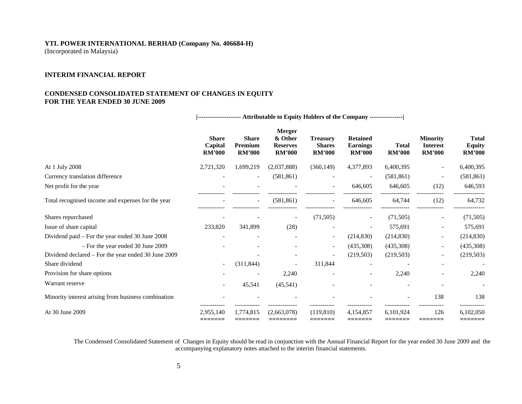(Incorporated in Malaysia)

#### **INTERIM FINANCIAL REPORT**

#### **CONDENSED CONSOLIDATED STATEMENT OF CHANGES IN EQUITY FOR THE YEAR ENDED 30 JUNE 2009**

|                                                     | --------------------- Attributable to Equity Holders of the Company ---------------- |                                          |                                                              |                                                   |                                                     |                               |                                                     |                                                |
|-----------------------------------------------------|--------------------------------------------------------------------------------------|------------------------------------------|--------------------------------------------------------------|---------------------------------------------------|-----------------------------------------------------|-------------------------------|-----------------------------------------------------|------------------------------------------------|
|                                                     | <b>Share</b><br>Capital<br><b>RM'000</b>                                             | <b>Share</b><br>Premium<br><b>RM'000</b> | <b>Merger</b><br>& Other<br><b>Reserves</b><br><b>RM'000</b> | <b>Treasury</b><br><b>Shares</b><br><b>RM'000</b> | <b>Retained</b><br><b>Earnings</b><br><b>RM'000</b> | <b>Total</b><br><b>RM'000</b> | <b>Minority</b><br><b>Interest</b><br><b>RM'000</b> | <b>Total</b><br><b>Equity</b><br><b>RM'000</b> |
| At 1 July 2008                                      | 2,721,320                                                                            | 1,699,219                                | (2,037,888)                                                  | (360, 149)                                        | 4,377,893                                           | 6,400,395                     |                                                     | 6,400,395                                      |
| Currency translation difference                     |                                                                                      |                                          | (581, 861)                                                   |                                                   |                                                     | (581, 861)                    |                                                     | (581, 861)                                     |
| Net profit for the year                             |                                                                                      |                                          |                                                              |                                                   | 646,605                                             | 646,605                       | (12)                                                | 646,593                                        |
| Total recognised income and expenses for the year   |                                                                                      |                                          | (581, 861)                                                   |                                                   | 646,605                                             | 64,744                        | (12)                                                | 64,732                                         |
| Shares repurchased                                  |                                                                                      |                                          | $\overline{\phantom{a}}$                                     | (71, 505)                                         |                                                     | (71, 505)                     | $\overline{\phantom{a}}$                            | (71,505)                                       |
| Issue of share capital                              | 233,820                                                                              | 341,899                                  | (28)                                                         |                                                   |                                                     | 575,691                       |                                                     | 575,691                                        |
| Dividend paid – For the year ended 30 June 2008     |                                                                                      |                                          |                                                              | $\overline{\phantom{a}}$                          | (214, 830)                                          | (214, 830)                    | $\overline{\phantom{0}}$                            | (214, 830)                                     |
| - For the year ended 30 June 2009                   |                                                                                      |                                          |                                                              | $\overline{\phantom{a}}$                          | (435,308)                                           | (435,308)                     |                                                     | (435,308)                                      |
| Dividend declared – For the year ended 30 June 2009 |                                                                                      |                                          |                                                              |                                                   | (219,503)                                           | (219,503)                     |                                                     | (219,503)                                      |
| Share dividend                                      |                                                                                      | (311, 844)                               | $\qquad \qquad -$                                            | 311,844                                           |                                                     |                               |                                                     |                                                |
| Provision for share options                         |                                                                                      |                                          | 2,240                                                        |                                                   |                                                     | 2,240                         |                                                     | 2,240                                          |
| Warrant reserve                                     |                                                                                      | 45,541                                   | (45,541)                                                     |                                                   |                                                     |                               |                                                     |                                                |
| Minority interest arising from business combination |                                                                                      |                                          |                                                              |                                                   |                                                     |                               | 138                                                 | 138                                            |
| At 30 June 2009                                     | 2,955,140                                                                            | 1,774,815                                | (2,663,078)                                                  | (119,810)                                         | 4,154,857                                           | 6,101,924                     | 126                                                 | 6,102,050                                      |
|                                                     |                                                                                      |                                          |                                                              |                                                   |                                                     |                               |                                                     |                                                |

The Condensed Consolidated Statement of Changes in Equity should be read in conjunction with the Annual Financial Report for the year ended 30 June 2009 and the accompanying explanatory notes attached to the interim financial statements.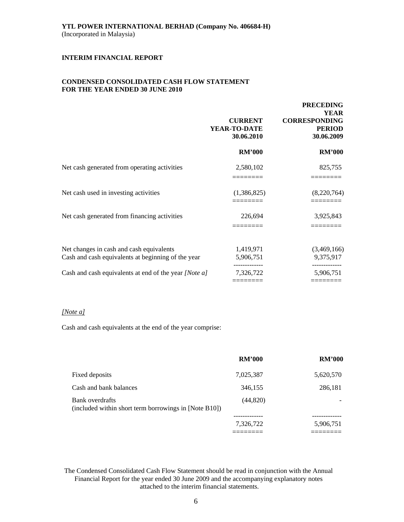## **CONDENSED CONSOLIDATED CASH FLOW STATEMENT FOR THE YEAR ENDED 30 JUNE 2010**

|                                                                                                | <b>CURRENT</b><br>YEAR-TO-DATE<br>30.06.2010 | <b>PRECEDING</b><br><b>YEAR</b><br><b>CORRESPONDING</b><br><b>PERIOD</b><br>30.06.2009 |
|------------------------------------------------------------------------------------------------|----------------------------------------------|----------------------------------------------------------------------------------------|
|                                                                                                | <b>RM'000</b>                                | <b>RM'000</b>                                                                          |
| Net cash generated from operating activities                                                   | 2,580,102                                    | 825,755                                                                                |
| Net cash used in investing activities                                                          | (1,386,825)                                  | (8,220,764)                                                                            |
| Net cash generated from financing activities                                                   | 226,694                                      | 3,925,843                                                                              |
| Net changes in cash and cash equivalents<br>Cash and cash equivalents at beginning of the year | 1,419,971<br>5,906,751                       | (3,469,166)<br>9,375,917                                                               |
| Cash and cash equivalents at end of the year [Note a]                                          | 7,326,722                                    | 5,906,751<br>======                                                                    |

#### *[Note a]*

Cash and cash equivalents at the end of the year comprise:

|                                                                          | <b>RM'000</b> | <b>RM'000</b> |
|--------------------------------------------------------------------------|---------------|---------------|
| Fixed deposits                                                           | 7,025,387     | 5,620,570     |
| Cash and bank balances                                                   | 346,155       | 286,181       |
| Bank overdrafts<br>(included within short term borrowings in [Note B10]) | (44, 820)     |               |
|                                                                          |               |               |
|                                                                          | 7,326,722     | 5,906,751     |
|                                                                          |               |               |

The Condensed Consolidated Cash Flow Statement should be read in conjunction with the Annual Financial Report for the year ended 30 June 2009 and the accompanying explanatory notes attached to the interim financial statements.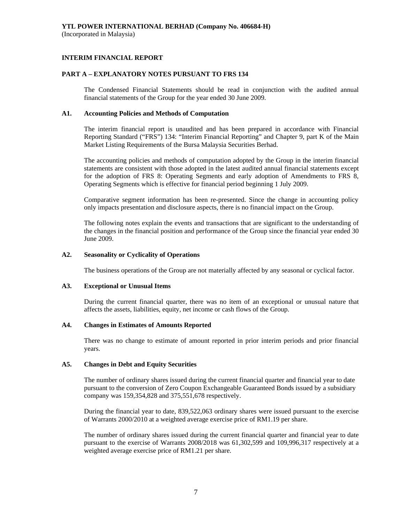## **INTERIM FINANCIAL REPORT**

#### **PART A – EXPLANATORY NOTES PURSUANT TO FRS 134**

The Condensed Financial Statements should be read in conjunction with the audited annual financial statements of the Group for the year ended 30 June 2009.

#### **A1. Accounting Policies and Methods of Computation**

The interim financial report is unaudited and has been prepared in accordance with Financial Reporting Standard ("FRS") 134: "Interim Financial Reporting" and Chapter 9, part K of the Main Market Listing Requirements of the Bursa Malaysia Securities Berhad.

The accounting policies and methods of computation adopted by the Group in the interim financial statements are consistent with those adopted in the latest audited annual financial statements except for the adoption of FRS 8: Operating Segments and early adoption of Amendments to FRS 8, Operating Segments which is effective for financial period beginning 1 July 2009.

Comparative segment information has been re-presented. Since the change in accounting policy only impacts presentation and disclosure aspects, there is no financial impact on the Group.

 The following notes explain the events and transactions that are significant to the understanding of the changes in the financial position and performance of the Group since the financial year ended 30 June 2009.

#### **A2. Seasonality or Cyclicality of Operations**

The business operations of the Group are not materially affected by any seasonal or cyclical factor.

#### **A3. Exceptional or Unusual Items**

 During the current financial quarter, there was no item of an exceptional or unusual nature that affects the assets, liabilities, equity, net income or cash flows of the Group.

#### **A4. Changes in Estimates of Amounts Reported**

 There was no change to estimate of amount reported in prior interim periods and prior financial years.

#### **A5. Changes in Debt and Equity Securities**

 The number of ordinary shares issued during the current financial quarter and financial year to date pursuant to the conversion of Zero Coupon Exchangeable Guaranteed Bonds issued by a subsidiary company was 159,354,828 and 375,551,678 respectively.

 During the financial year to date, 839,522,063 ordinary shares were issued pursuant to the exercise of Warrants 2000/2010 at a weighted average exercise price of RM1.19 per share.

 The number of ordinary shares issued during the current financial quarter and financial year to date pursuant to the exercise of Warrants 2008/2018 was 61,302,599 and 109,996,317 respectively at a weighted average exercise price of RM1.21 per share.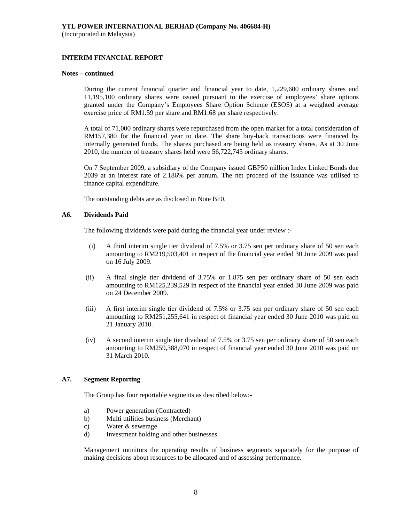#### **INTERIM FINANCIAL REPORT**

#### **Notes – continued**

 During the current financial quarter and financial year to date, 1,229,600 ordinary shares and 11,195,100 ordinary shares were issued pursuant to the exercise of employees' share options granted under the Company's Employees Share Option Scheme (ESOS) at a weighted average exercise price of RM1.59 per share and RM1.68 per share respectively.

 A total of 71,000 ordinary shares were repurchased from the open market for a total consideration of RM157,380 for the financial year to date. The share buy-back transactions were financed by internally generated funds. The shares purchased are being held as treasury shares. As at 30 June 2010, the number of treasury shares held were 56,722,745 ordinary shares.

 On 7 September 2009, a subsidiary of the Company issued GBP50 million Index Linked Bonds due 2039 at an interest rate of 2.186% per annum. The net proceed of the issuance was utilised to finance capital expenditure.

The outstanding debts are as disclosed in Note B10.

#### **A6. Dividends Paid**

The following dividends were paid during the financial year under review :-

- (i) A third interim single tier dividend of 7.5% or 3.75 sen per ordinary share of 50 sen each amounting to RM219,503,401 in respect of the financial year ended 30 June 2009 was paid on 16 July 2009.
- (ii) A final single tier dividend of 3.75% or 1.875 sen per ordinary share of 50 sen each amounting to RM125,239,529 in respect of the financial year ended 30 June 2009 was paid on 24 December 2009.
- (iii) A first interim single tier dividend of 7.5% or 3.75 sen per ordinary share of 50 sen each amounting to RM251,255,641 in respect of financial year ended 30 June 2010 was paid on 21 January 2010.
- (iv) A second interim single tier dividend of 7.5% or 3.75 sen per ordinary share of 50 sen each amounting to RM259,388,070 in respect of financial year ended 30 June 2010 was paid on 31 March 2010.

#### **A7. Segment Reporting**

The Group has four reportable segments as described below:-

- a) Power generation (Contracted)
- b) Multi utilities business (Merchant)
- c) Water & sewerage
- d) Investment holding and other businesses

 Management monitors the operating results of business segments separately for the purpose of making decisions about resources to be allocated and of assessing performance.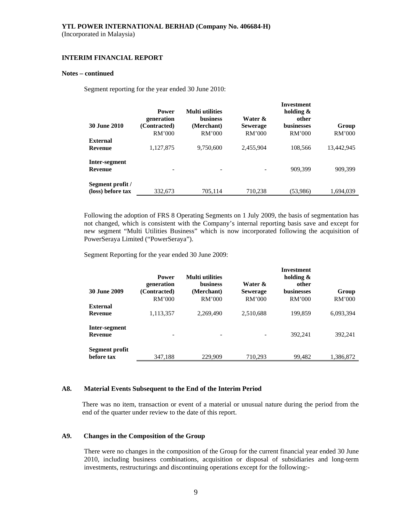#### **INTERIM FINANCIAL REPORT**

#### **Notes – continued**

Segment reporting for the year ended 30 June 2010:

|                     | <b>Power</b><br>generation | <b>Multi</b> utilities<br><b>business</b> | Water &         | Investment<br>holding $\&$<br>other |            |
|---------------------|----------------------------|-------------------------------------------|-----------------|-------------------------------------|------------|
| <b>30 June 2010</b> | (Contracted)               | (Merchant)                                | <b>Sewerage</b> | <b>businesses</b>                   | Group      |
|                     | RM'000                     | RM'000                                    | RM'000          | RM'000                              | RM'000     |
| <b>External</b>     |                            |                                           |                 |                                     |            |
| <b>Revenue</b>      | 1,127,875                  | 9,750,600                                 | 2,455,904       | 108,566                             | 13,442,945 |
| Inter-segment       |                            |                                           |                 |                                     |            |
| <b>Revenue</b>      |                            |                                           |                 | 909.399                             | 909,399    |
| Segment profit /    |                            |                                           |                 |                                     |            |
| (loss) before tax   | 332,673                    | 705,114                                   | 710,238         | (53,986)                            | 1,694,039  |

 Following the adoption of FRS 8 Operating Segments on 1 July 2009, the basis of segmentation has not changed, which is consistent with the Company's internal reporting basis save and except for new segment "Multi Utilities Business" which is now incorporated following the acquisition of PowerSeraya Limited ("PowerSeraya").

Segment Reporting for the year ended 30 June 2009:

| <b>30 June 2009</b>             | <b>Power</b><br>generation<br>(Contracted)<br>RM'000 | <b>Multi</b> utilities<br><b>business</b><br>(Merchant)<br>RM'000 | Water &<br><b>Sewerage</b><br>RM'000 | <b>Investment</b><br>holding $\&$<br>other<br><b>businesses</b><br>RM'000 | Group<br>RM'000 |
|---------------------------------|------------------------------------------------------|-------------------------------------------------------------------|--------------------------------------|---------------------------------------------------------------------------|-----------------|
| <b>External</b>                 |                                                      |                                                                   |                                      |                                                                           |                 |
| <b>Revenue</b>                  | 1,113,357                                            | 2,269,490                                                         | 2,510,688                            | 199,859                                                                   | 6,093,394       |
| Inter-segment<br><b>Revenue</b> |                                                      |                                                                   |                                      | 392,241                                                                   | 392,241         |
| Segment profit<br>before tax    | 347,188                                              | 229,909                                                           | 710,293                              | 99,482                                                                    | 1,386,872       |

### **A8. Material Events Subsequent to the End of the Interim Period**

There was no item, transaction or event of a material or unusual nature during the period from the end of the quarter under review to the date of this report.

## **A9. Changes in the Composition of the Group**

 There were no changes in the composition of the Group for the current financial year ended 30 June 2010, including business combinations, acquisition or disposal of subsidiaries and long-term investments, restructurings and discontinuing operations except for the following:-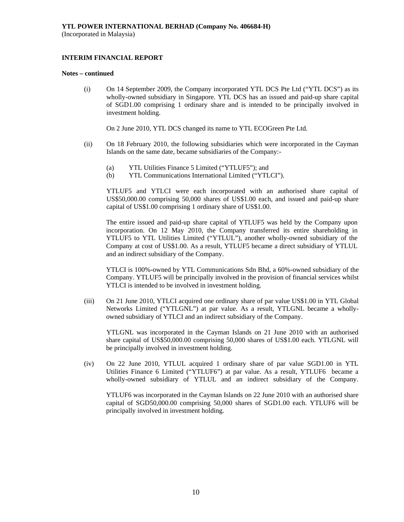#### **INTERIM FINANCIAL REPORT**

#### **Notes – continued**

(i) On 14 September 2009, the Company incorporated YTL DCS Pte Ltd ("YTL DCS") as its wholly-owned subsidiary in Singapore. YTL DCS has an issued and paid-up share capital of SGD1.00 comprising 1 ordinary share and is intended to be principally involved in investment holding.

On 2 June 2010, YTL DCS changed its name to YTL ECOGreen Pte Ltd.

- (ii) On 18 February 2010, the following subsidiaries which were incorporated in the Cayman Islands on the same date, became subsidiaries of the Company:-
	- (a) YTL Utilities Finance 5 Limited ("YTLUF5"); and
	- (b) YTL Communications International Limited ("YTLCI").

YTLUF5 and YTLCI were each incorporated with an authorised share capital of US\$50,000.00 comprising 50,000 shares of US\$1.00 each, and issued and paid-up share capital of US\$1.00 comprising 1 ordinary share of US\$1.00.

The entire issued and paid-up share capital of YTLUF5 was held by the Company upon incorporation. On 12 May 2010, the Company transferred its entire shareholding in YTLUF5 to YTL Utilities Limited ("YTLUL"), another wholly-owned subsidiary of the Company at cost of US\$1.00. As a result, YTLUF5 became a direct subsidiary of YTLUL and an indirect subsidiary of the Company.

YTLCI is 100%-owned by YTL Communications Sdn Bhd, a 60%-owned subsidiary of the Company. YTLUF5 will be principally involved in the provision of financial services whilst YTLCI is intended to be involved in investment holding.

(iii) On 21 June 2010, YTLCI acquired one ordinary share of par value US\$1.00 in YTL Global Networks Limited ("YTLGNL") at par value. As a result, YTLGNL became a whollyowned subsidiary of YTLCI and an indirect subsidiary of the Company.

YTLGNL was incorporated in the Cayman Islands on 21 June 2010 with an authorised share capital of US\$50,000.00 comprising 50,000 shares of US\$1.00 each. YTLGNL will be principally involved in investment holding.

(iv) On 22 June 2010, YTLUL acquired 1 ordinary share of par value SGD1.00 in YTL Utilities Finance 6 Limited ("YTLUF6") at par value. As a result, YTLUF6 became a wholly-owned subsidiary of YTLUL and an indirect subsidiary of the Company.

YTLUF6 was incorporated in the Cayman Islands on 22 June 2010 with an authorised share capital of SGD50,000.00 comprising 50,000 shares of SGD1.00 each. YTLUF6 will be principally involved in investment holding.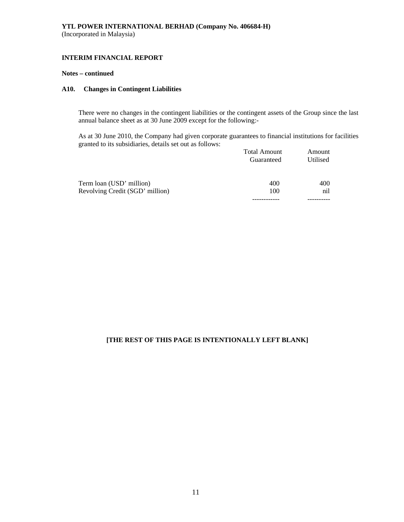## **INTERIM FINANCIAL REPORT**

#### **Notes – continued**

## **A10. Changes in Contingent Liabilities**

There were no changes in the contingent liabilities or the contingent assets of the Group since the last annual balance sheet as at 30 June 2009 except for the following:-

As at 30 June 2010, the Company had given corporate guarantees to financial institutions for facilities granted to its subsidiaries, details set out as follows:

| Revolving Credit (SGD' million) | 100                 | nil      |
|---------------------------------|---------------------|----------|
| Term loan (USD' million)        | 400                 | 400      |
|                                 | Guaranteed          | Utilised |
|                                 | <b>Total Amount</b> | Amount   |

## **[THE REST OF THIS PAGE IS INTENTIONALLY LEFT BLANK]**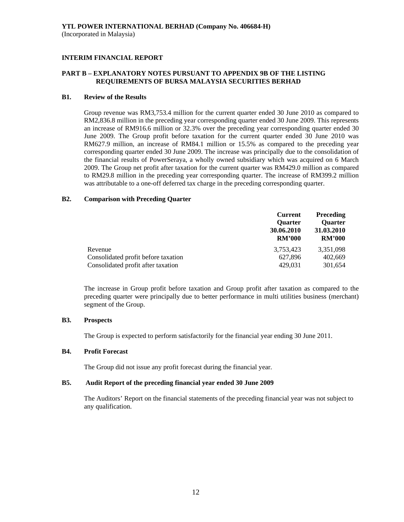## **PART B – EXPLANATORY NOTES PURSUANT TO APPENDIX 9B OF THE LISTING REQUIREMENTS OF BURSA MALAYSIA SECURITIES BERHAD**

#### **B1. Review of the Results**

 Group revenue was RM3,753.4 million for the current quarter ended 30 June 2010 as compared to RM2,836.8 million in the preceding year corresponding quarter ended 30 June 2009. This represents an increase of RM916.6 million or 32.3% over the preceding year corresponding quarter ended 30 June 2009. The Group profit before taxation for the current quarter ended 30 June 2010 was RM627.9 million, an increase of RM84.1 million or 15.5% as compared to the preceding year corresponding quarter ended 30 June 2009. The increase was principally due to the consolidation of the financial results of PowerSeraya, a wholly owned subsidiary which was acquired on 6 March 2009. The Group net profit after taxation for the current quarter was RM429.0 million as compared to RM29.8 million in the preceding year corresponding quarter. The increase of RM399.2 million was attributable to a one-off deferred tax charge in the preceding corresponding quarter.

#### **B2. Comparison with Preceding Quarter**

|                                     | <b>Current</b><br><b>Ouarter</b><br>30.06.2010<br><b>RM'000</b> | <b>Preceding</b><br><b>Quarter</b><br>31.03.2010<br><b>RM'000</b> |
|-------------------------------------|-----------------------------------------------------------------|-------------------------------------------------------------------|
| Revenue                             | 3,753,423                                                       | 3,351,098                                                         |
| Consolidated profit before taxation | 627,896                                                         | 402,669                                                           |
| Consolidated profit after taxation  | 429,031                                                         | 301,654                                                           |

The increase in Group profit before taxation and Group profit after taxation as compared to the preceding quarter were principally due to better performance in multi utilities business (merchant) segment of the Group.

#### **B3. Prospects**

The Group is expected to perform satisfactorily for the financial year ending 30 June 2011.

## **B4. Profit Forecast**

The Group did not issue any profit forecast during the financial year.

#### **B5. Audit Report of the preceding financial year ended 30 June 2009**

 The Auditors' Report on the financial statements of the preceding financial year was not subject to any qualification.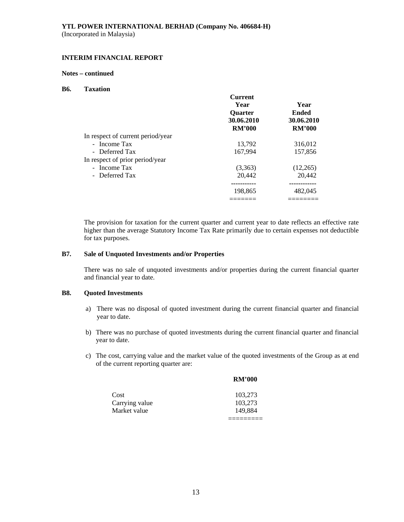## **INTERIM FINANCIAL REPORT**

#### **Notes – continued**

#### **B6. Taxation**

|                                   | <b>Current</b><br>Year<br><b>Ouarter</b><br>30.06.2010<br><b>RM'000</b> | Year<br><b>Ended</b><br>30.06.2010<br><b>RM'000</b> |
|-----------------------------------|-------------------------------------------------------------------------|-----------------------------------------------------|
| In respect of current period/year |                                                                         |                                                     |
| - Income Tax                      | 13.792                                                                  | 316,012                                             |
| - Deferred Tax                    | 167,994                                                                 | 157,856                                             |
| In respect of prior period/year   |                                                                         |                                                     |
| - Income Tax                      | (3,363)                                                                 | (12,265)                                            |
| - Deferred Tax                    | 20,442                                                                  | 20,442                                              |
|                                   | .                                                                       | ------------                                        |
|                                   | 198,865                                                                 | 482,045                                             |
|                                   |                                                                         |                                                     |

The provision for taxation for the current quarter and current year to date reflects an effective rate higher than the average Statutory Income Tax Rate primarily due to certain expenses not deductible for tax purposes.

## **B7. Sale of Unquoted Investments and/or Properties**

There was no sale of unquoted investments and/or properties during the current financial quarter and financial year to date.

#### **B8. Quoted Investments**

- a) There was no disposal of quoted investment during the current financial quarter and financial year to date.
- b) There was no purchase of quoted investments during the current financial quarter and financial year to date.
- c) The cost, carrying value and the market value of the quoted investments of the Group as at end of the current reporting quarter are:

|                | <b>RM'000</b> |
|----------------|---------------|
| Cost           | 103,273       |
| Carrying value | 103,273       |
| Market value   | 149.884       |
|                |               |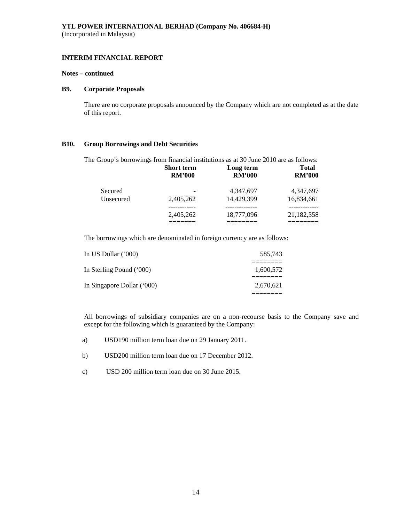#### **INTERIM FINANCIAL REPORT**

#### **Notes – continued**

#### **B9. Corporate Proposals**

There are no corporate proposals announced by the Company which are not completed as at the date of this report.

#### **B10. Group Borrowings and Debt Securities**

The Group's borrowings from financial institutions as at 30 June 2010 are as follows:

|           | <b>Short term</b><br><b>RM'000</b> | Long term<br><b>RM'000</b> | <b>Total</b><br><b>RM'000</b> |
|-----------|------------------------------------|----------------------------|-------------------------------|
| Secured   |                                    | 4,347,697                  | 4,347,697                     |
| Unsecured | 2,405,262                          | 14,429,399                 | 16,834,661                    |
|           |                                    |                            |                               |
|           | 2,405,262                          | 18,777,096                 | 21,182,358                    |
|           |                                    |                            |                               |

The borrowings which are denominated in foreign currency are as follows:

| In Sterling Pound ('000)<br>In Singapore Dollar ('000) |
|--------------------------------------------------------|

All borrowings of subsidiary companies are on a non-recourse basis to the Company save and except for the following which is guaranteed by the Company:

- a) USD190 million term loan due on 29 January 2011.
- b) USD200 million term loan due on 17 December 2012.
- c) USD 200 million term loan due on 30 June 2015.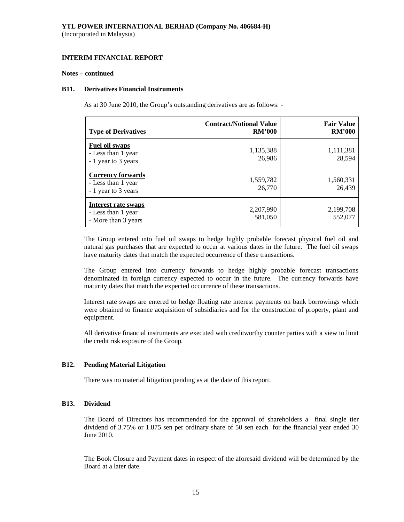(Incorporated in Malaysia)

#### **INTERIM FINANCIAL REPORT**

#### **Notes – continued**

#### **B11. Derivatives Financial Instruments**

As at 30 June 2010, the Group's outstanding derivatives are as follows: -

| <b>Type of Derivatives</b>                                            | <b>Contract/Notional Value</b><br><b>RM'000</b> | <b>Fair Value</b><br><b>RM'000</b> |
|-----------------------------------------------------------------------|-------------------------------------------------|------------------------------------|
| Fuel oil swaps<br>- Less than 1 year<br>- 1 year to 3 years           | 1,135,388<br>26,986                             | 1,111,381<br>28,594                |
| <b>Currency forwards</b><br>- Less than 1 year<br>- 1 year to 3 years | 1,559,782<br>26,770                             | 1,560,331<br>26,439                |
| Interest rate swaps<br>- Less than 1 year<br>- More than 3 years      | 2,207,990<br>581,050                            | 2,199,708<br>552,077               |

The Group entered into fuel oil swaps to hedge highly probable forecast physical fuel oil and natural gas purchases that are expected to occur at various dates in the future. The fuel oil swaps have maturity dates that match the expected occurrence of these transactions.

The Group entered into currency forwards to hedge highly probable forecast transactions denominated in foreign currency expected to occur in the future. The currency forwards have maturity dates that match the expected occurrence of these transactions.

Interest rate swaps are entered to hedge floating rate interest payments on bank borrowings which were obtained to finance acquisition of subsidiaries and for the construction of property, plant and equipment.

All derivative financial instruments are executed with creditworthy counter parties with a view to limit the credit risk exposure of the Group.

#### **B12. Pending Material Litigation**

There was no material litigation pending as at the date of this report.

#### **B13. Dividend**

The Board of Directors has recommended for the approval of shareholders a final single tier dividend of 3.75% or 1.875 sen per ordinary share of 50 sen each for the financial year ended 30 June 2010.

 The Book Closure and Payment dates in respect of the aforesaid dividend will be determined by the Board at a later date.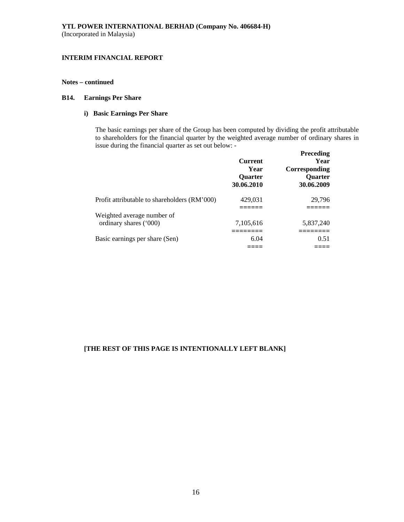## **INTERIM FINANCIAL REPORT**

## **Notes – continued**

## **B14. Earnings Per Share**

#### **i) Basic Earnings Per Share**

The basic earnings per share of the Group has been computed by dividing the profit attributable to shareholders for the financial quarter by the weighted average number of ordinary shares in issue during the financial quarter as set out below: -

|                                              | <b>Current</b><br>Year<br><b>Ouarter</b><br>30.06.2010 | <b>Preceding</b><br>Year<br>Corresponding<br>Quarter<br>30.06.2009 |
|----------------------------------------------|--------------------------------------------------------|--------------------------------------------------------------------|
| Profit attributable to shareholders (RM'000) | 429,031                                                | 29,796                                                             |
|                                              |                                                        |                                                                    |
| Weighted average number of                   |                                                        |                                                                    |
| ordinary shares ('000)                       | 7,105,616                                              | 5,837,240                                                          |
|                                              |                                                        |                                                                    |
| Basic earnings per share (Sen)               | 6.04                                                   | 0.51                                                               |
|                                              |                                                        |                                                                    |

## **[THE REST OF THIS PAGE IS INTENTIONALLY LEFT BLANK]**